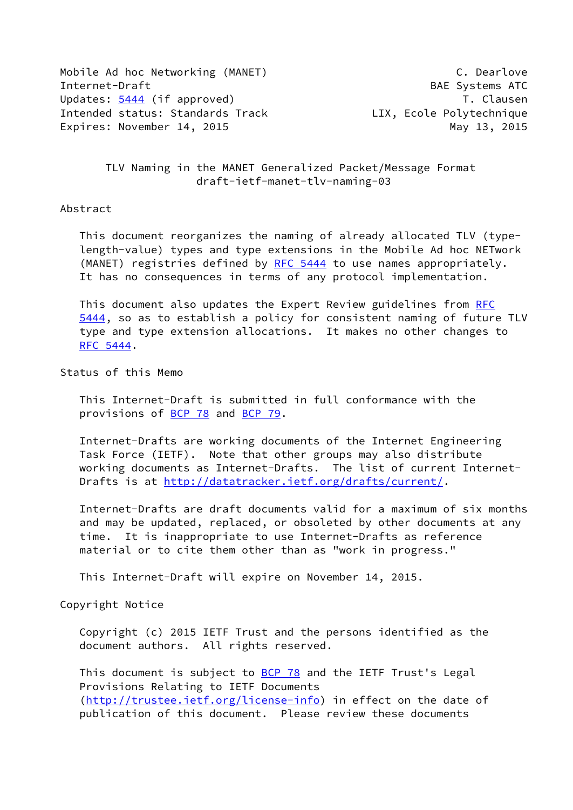Mobile Ad hoc Networking (MANET) C. Dearlove Internet-Draft BAE Systems ATC Updates: [5444](https://datatracker.ietf.org/doc/pdf/rfc5444) (if approved) Updates: 5444 (if approved) Intended status: Standards Track LIX, Ecole Polytechnique Expires: November 14, 2015 May 13, 2015

 TLV Naming in the MANET Generalized Packet/Message Format draft-ietf-manet-tlv-naming-03

## Abstract

 This document reorganizes the naming of already allocated TLV (type length-value) types and type extensions in the Mobile Ad hoc NETwork (MANET) registries defined by [RFC 5444](https://datatracker.ietf.org/doc/pdf/rfc5444) to use names appropriately. It has no consequences in terms of any protocol implementation.

 This document also updates the Expert Review guidelines from [RFC](https://datatracker.ietf.org/doc/pdf/rfc5444) [5444](https://datatracker.ietf.org/doc/pdf/rfc5444), so as to establish a policy for consistent naming of future TLV type and type extension allocations. It makes no other changes to [RFC 5444](https://datatracker.ietf.org/doc/pdf/rfc5444).

Status of this Memo

 This Internet-Draft is submitted in full conformance with the provisions of [BCP 78](https://datatracker.ietf.org/doc/pdf/bcp78) and [BCP 79](https://datatracker.ietf.org/doc/pdf/bcp79).

 Internet-Drafts are working documents of the Internet Engineering Task Force (IETF). Note that other groups may also distribute working documents as Internet-Drafts. The list of current Internet- Drafts is at<http://datatracker.ietf.org/drafts/current/>.

 Internet-Drafts are draft documents valid for a maximum of six months and may be updated, replaced, or obsoleted by other documents at any time. It is inappropriate to use Internet-Drafts as reference material or to cite them other than as "work in progress."

This Internet-Draft will expire on November 14, 2015.

Copyright Notice

 Copyright (c) 2015 IETF Trust and the persons identified as the document authors. All rights reserved.

This document is subject to **[BCP 78](https://datatracker.ietf.org/doc/pdf/bcp78)** and the IETF Trust's Legal Provisions Relating to IETF Documents [\(http://trustee.ietf.org/license-info](http://trustee.ietf.org/license-info)) in effect on the date of publication of this document. Please review these documents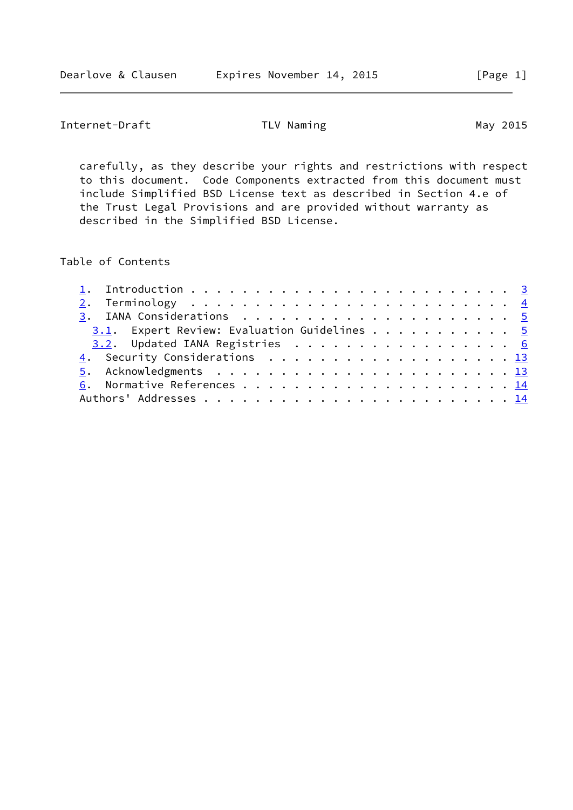Internet-Draft TLV Naming TLV Naming May 2015

 carefully, as they describe your rights and restrictions with respect to this document. Code Components extracted from this document must include Simplified BSD License text as described in Section 4.e of the Trust Legal Provisions and are provided without warranty as described in the Simplified BSD License.

Table of Contents

| 3.1. Expert Review: Evaluation Guidelines 5 |  |
|---------------------------------------------|--|
| 3.2. Updated IANA Registries 6              |  |
| 4. Security Considerations 13               |  |
|                                             |  |
|                                             |  |
|                                             |  |
|                                             |  |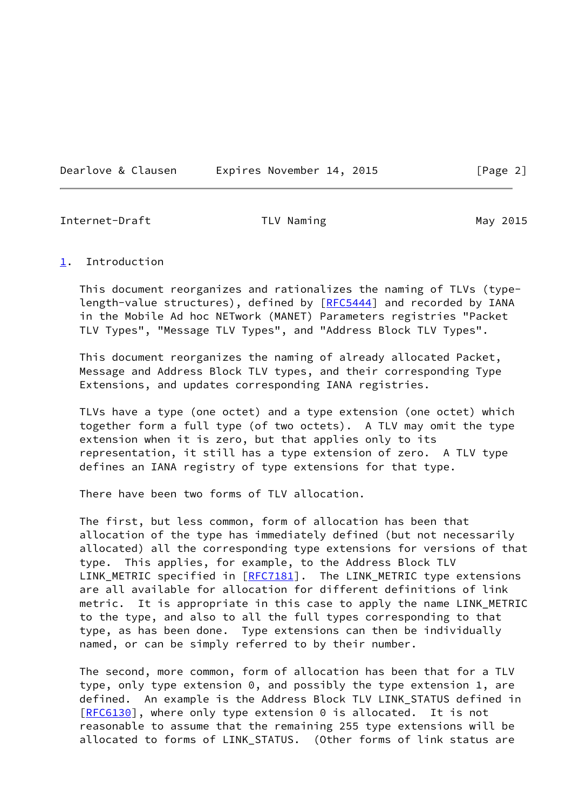Dearlove & Clausen Expires November 14, 2015 [Page 2]

<span id="page-2-1"></span>Internet-Draft TLV Naming The May 2015

### <span id="page-2-0"></span>[1](#page-2-0). Introduction

 This document reorganizes and rationalizes the naming of TLVs (type- length-value structures), defined by [\[RFC5444](https://datatracker.ietf.org/doc/pdf/rfc5444)] and recorded by IANA in the Mobile Ad hoc NETwork (MANET) Parameters registries "Packet TLV Types", "Message TLV Types", and "Address Block TLV Types".

 This document reorganizes the naming of already allocated Packet, Message and Address Block TLV types, and their corresponding Type Extensions, and updates corresponding IANA registries.

 TLVs have a type (one octet) and a type extension (one octet) which together form a full type (of two octets). A TLV may omit the type extension when it is zero, but that applies only to its representation, it still has a type extension of zero. A TLV type defines an IANA registry of type extensions for that type.

There have been two forms of TLV allocation.

 The first, but less common, form of allocation has been that allocation of the type has immediately defined (but not necessarily allocated) all the corresponding type extensions for versions of that type. This applies, for example, to the Address Block TLV LINK\_METRIC specified in [\[RFC7181](https://datatracker.ietf.org/doc/pdf/rfc7181)]. The LINK\_METRIC type extensions are all available for allocation for different definitions of link metric. It is appropriate in this case to apply the name LINK\_METRIC to the type, and also to all the full types corresponding to that type, as has been done. Type extensions can then be individually named, or can be simply referred to by their number.

 The second, more common, form of allocation has been that for a TLV type, only type extension 0, and possibly the type extension 1, are defined. An example is the Address Block TLV LINK\_STATUS defined in [\[RFC6130](https://datatracker.ietf.org/doc/pdf/rfc6130)], where only type extension 0 is allocated. It is not reasonable to assume that the remaining 255 type extensions will be allocated to forms of LINK\_STATUS. (Other forms of link status are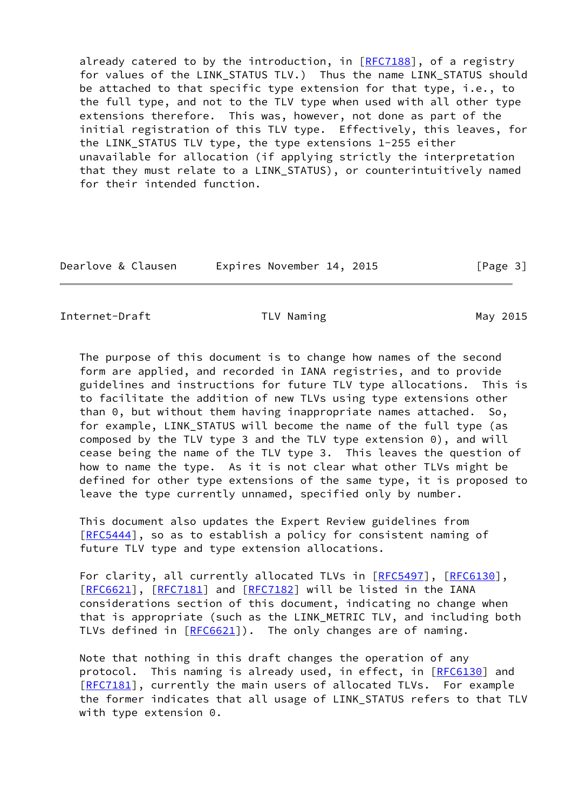already catered to by the introduction, in [[RFC7188\]](https://datatracker.ietf.org/doc/pdf/rfc7188), of a registry for values of the LINK\_STATUS TLV.) Thus the name LINK\_STATUS should be attached to that specific type extension for that type, i.e., to the full type, and not to the TLV type when used with all other type extensions therefore. This was, however, not done as part of the initial registration of this TLV type. Effectively, this leaves, for the LINK STATUS TLV type, the type extensions 1-255 either unavailable for allocation (if applying strictly the interpretation that they must relate to a LINK\_STATUS), or counterintuitively named for their intended function.

| Dearlove & Clausen | Expires November 14, 2015 | [Page 3] |
|--------------------|---------------------------|----------|
|--------------------|---------------------------|----------|

<span id="page-3-0"></span>Internet-Draft TLV Naming TLV Naming May 2015

 The purpose of this document is to change how names of the second form are applied, and recorded in IANA registries, and to provide guidelines and instructions for future TLV type allocations. This is to facilitate the addition of new TLVs using type extensions other than 0, but without them having inappropriate names attached. So, for example, LINK STATUS will become the name of the full type (as composed by the TLV type 3 and the TLV type extension 0), and will cease being the name of the TLV type 3. This leaves the question of how to name the type. As it is not clear what other TLVs might be defined for other type extensions of the same type, it is proposed to leave the type currently unnamed, specified only by number.

 This document also updates the Expert Review guidelines from [\[RFC5444](https://datatracker.ietf.org/doc/pdf/rfc5444)], so as to establish a policy for consistent naming of future TLV type and type extension allocations.

For clarity, all currently allocated TLVs in [\[RFC5497](https://datatracker.ietf.org/doc/pdf/rfc5497)], [\[RFC6130](https://datatracker.ietf.org/doc/pdf/rfc6130)], [\[RFC6621](https://datatracker.ietf.org/doc/pdf/rfc6621)], [[RFC7181\]](https://datatracker.ietf.org/doc/pdf/rfc7181) and [\[RFC7182](https://datatracker.ietf.org/doc/pdf/rfc7182)] will be listed in the IANA considerations section of this document, indicating no change when that is appropriate (such as the LINK\_METRIC TLV, and including both TLVs defined in [\[RFC6621](https://datatracker.ietf.org/doc/pdf/rfc6621)]). The only changes are of naming.

 Note that nothing in this draft changes the operation of any protocol. This naming is already used, in effect, in [[RFC6130](https://datatracker.ietf.org/doc/pdf/rfc6130)] and [\[RFC7181](https://datatracker.ietf.org/doc/pdf/rfc7181)], currently the main users of allocated TLVs. For example the former indicates that all usage of LINK\_STATUS refers to that TLV with type extension 0.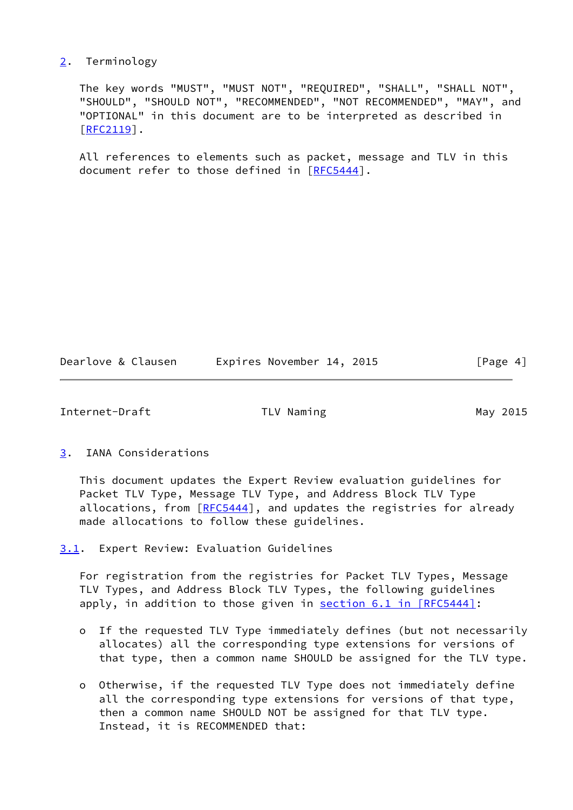# <span id="page-4-0"></span>[2](#page-4-0). Terminology

 The key words "MUST", "MUST NOT", "REQUIRED", "SHALL", "SHALL NOT", "SHOULD", "SHOULD NOT", "RECOMMENDED", "NOT RECOMMENDED", "MAY", and "OPTIONAL" in this document are to be interpreted as described in [\[RFC2119](https://datatracker.ietf.org/doc/pdf/rfc2119)].

 All references to elements such as packet, message and TLV in this document refer to those defined in [[RFC5444\]](https://datatracker.ietf.org/doc/pdf/rfc5444).

Dearlove & Clausen Lexpires November 14, 2015 [Page 4]

<span id="page-4-2"></span>Internet-Draft TLV Naming May 2015

# <span id="page-4-1"></span>[3](#page-4-1). IANA Considerations

 This document updates the Expert Review evaluation guidelines for Packet TLV Type, Message TLV Type, and Address Block TLV Type allocations, from [[RFC5444](https://datatracker.ietf.org/doc/pdf/rfc5444)], and updates the registries for already made allocations to follow these guidelines.

<span id="page-4-3"></span>[3.1](#page-4-3). Expert Review: Evaluation Guidelines

 For registration from the registries for Packet TLV Types, Message TLV Types, and Address Block TLV Types, the following guidelines apply, in addition to those given in section [6.1 in \[RFC5444\]](https://datatracker.ietf.org/doc/pdf/rfc5444#section-6.1):

- o If the requested TLV Type immediately defines (but not necessarily allocates) all the corresponding type extensions for versions of that type, then a common name SHOULD be assigned for the TLV type.
- o Otherwise, if the requested TLV Type does not immediately define all the corresponding type extensions for versions of that type, then a common name SHOULD NOT be assigned for that TLV type. Instead, it is RECOMMENDED that: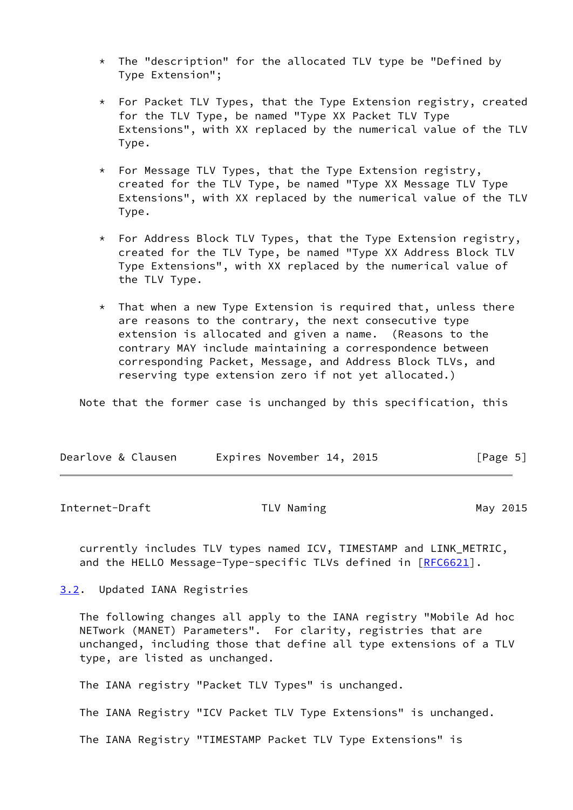- \* The "description" for the allocated TLV type be "Defined by Type Extension";
- \* For Packet TLV Types, that the Type Extension registry, created for the TLV Type, be named "Type XX Packet TLV Type Extensions", with XX replaced by the numerical value of the TLV Type.
- \* For Message TLV Types, that the Type Extension registry, created for the TLV Type, be named "Type XX Message TLV Type Extensions", with XX replaced by the numerical value of the TLV Type.
- \* For Address Block TLV Types, that the Type Extension registry, created for the TLV Type, be named "Type XX Address Block TLV Type Extensions", with XX replaced by the numerical value of the TLV Type.
- $*$  That when a new Type Extension is required that, unless there are reasons to the contrary, the next consecutive type extension is allocated and given a name. (Reasons to the contrary MAY include maintaining a correspondence between corresponding Packet, Message, and Address Block TLVs, and reserving type extension zero if not yet allocated.)

Note that the former case is unchanged by this specification, this

| Dearlove & Clausen | Expires November 14, 2015 | [Page 5] |
|--------------------|---------------------------|----------|
|--------------------|---------------------------|----------|

<span id="page-5-1"></span>Internet-Draft TLV Naming The May 2015

 currently includes TLV types named ICV, TIMESTAMP and LINK\_METRIC, and the HELLO Message-Type-specific TLVs defined in [\[RFC6621](https://datatracker.ietf.org/doc/pdf/rfc6621)].

<span id="page-5-0"></span>[3.2](#page-5-0). Updated IANA Registries

 The following changes all apply to the IANA registry "Mobile Ad hoc NETwork (MANET) Parameters". For clarity, registries that are unchanged, including those that define all type extensions of a TLV type, are listed as unchanged.

The IANA registry "Packet TLV Types" is unchanged.

The IANA Registry "ICV Packet TLV Type Extensions" is unchanged.

The IANA Registry "TIMESTAMP Packet TLV Type Extensions" is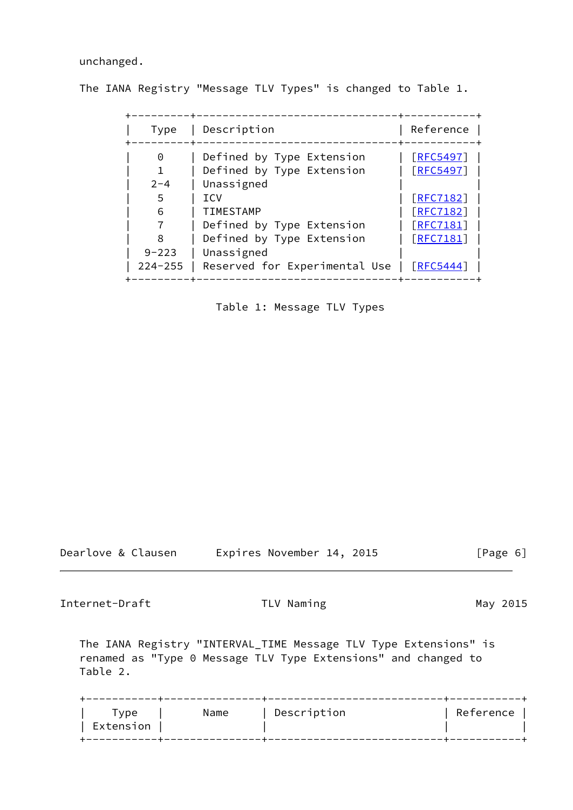unchanged.

The IANA Registry "Message TLV Types" is changed to Table 1.

| Type                                                    | Description                                                                                                                                                                                                     | Reference                                                                                                           |
|---------------------------------------------------------|-----------------------------------------------------------------------------------------------------------------------------------------------------------------------------------------------------------------|---------------------------------------------------------------------------------------------------------------------|
| 0<br>$2 - 4$<br>5<br>6<br>8<br>$9 - 223$<br>$224 - 255$ | Defined by Type Extension<br>Defined by Type Extension<br>Unassigned<br><b>TCV</b><br><b>TIMESTAMP</b><br>Defined by Type Extension<br>Defined by Type Extension<br>Unassigned<br>Reserved for Experimental Use | [REC5497]<br>[REC5497]<br>$[$ RFC7182]<br>$\lceil$ RFC7182<br>$\lceil$ RFC7181<br>$[$ RFC7181]<br>$\lceil$ RFC5444] |

Table 1: Message TLV Types

Dearlove & Clausen Expires November 14, 2015 [Page 6]

Internet-Draft TLV Naming The May 2015

 The IANA Registry "INTERVAL\_TIME Message TLV Type Extensions" is renamed as "Type 0 Message TLV Type Extensions" and changed to Table 2.

|  |  | vpe ⊺<br>Extension | Name | Description | Reference |
|--|--|--------------------|------|-------------|-----------|
|--|--|--------------------|------|-------------|-----------|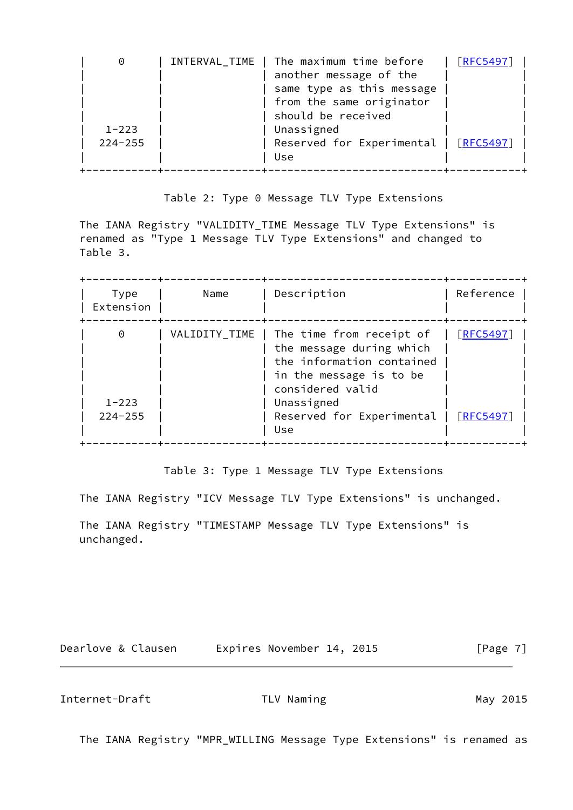| 0                        | INTERVAL_TIME   The maximum time before<br>another message of the<br>same type as this message<br>from the same originator<br>should be received | [REC5497] |
|--------------------------|--------------------------------------------------------------------------------------------------------------------------------------------------|-----------|
| $1 - 223$<br>$224 - 255$ | Unassigned<br>Reserved for Experimental   [RFC5497]                                                                                              |           |
|                          | Use                                                                                                                                              |           |

Table 2: Type 0 Message TLV Type Extensions

 The IANA Registry "VALIDITY\_TIME Message TLV Type Extensions" is renamed as "Type 1 Message TLV Type Extensions" and changed to Table 3.

| Type<br>Extension        | Name | Description                                                                                                                                                                                        | Reference                    |
|--------------------------|------|----------------------------------------------------------------------------------------------------------------------------------------------------------------------------------------------------|------------------------------|
| $1 - 223$<br>$224 - 255$ |      | VALIDITY_TIME   The time from receipt of<br>the message during which<br>the information contained<br>in the message is to be<br>considered valid<br>Unassigned<br>Reserved for Experimental<br>Use | [REC5497]<br><b>RFC54971</b> |

Table 3: Type 1 Message TLV Type Extensions

The IANA Registry "ICV Message TLV Type Extensions" is unchanged.

 The IANA Registry "TIMESTAMP Message TLV Type Extensions" is unchanged.

Dearlove & Clausen Expires November 14, 2015 [Page 7]

Internet-Draft TLV Naming May 2015

The IANA Registry "MPR\_WILLING Message Type Extensions" is renamed as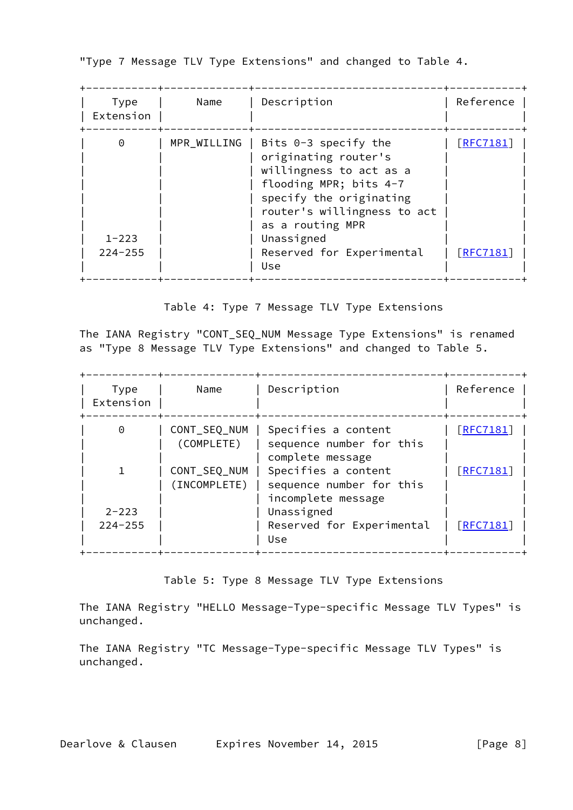"Type 7 Message TLV Type Extensions" and changed to Table 4.

| Type<br>Extension                    | Name        | Description                                                                                                                                                                                                                         | Reference                       |
|--------------------------------------|-------------|-------------------------------------------------------------------------------------------------------------------------------------------------------------------------------------------------------------------------------------|---------------------------------|
| $\Theta$<br>$1 - 223$<br>$224 - 255$ | MPR WILLING | Bits $0-3$ specify the<br>originating router's<br>willingness to act as a<br>flooding MPR; bits 4-7<br>specify the originating<br>router's willingness to act<br>as a routing MPR<br>Unassigned<br>Reserved for Experimental<br>Use | $[$ RFC7181]<br><b>FRFC7181</b> |

Table 4: Type 7 Message TLV Type Extensions

 The IANA Registry "CONT\_SEQ\_NUM Message Type Extensions" is renamed as "Type 8 Message TLV Type Extensions" and changed to Table 5.

| Type<br>Extension        | Name                         | Description                                                           | Reference       |
|--------------------------|------------------------------|-----------------------------------------------------------------------|-----------------|
| 0                        | CONT_SEQ_NUM<br>(COMPLETE)   | Specifies a content<br>sequence number for this<br>complete message   | $[$ RFC7181]    |
|                          | CONT_SEQ_NUM<br>(INCOMPLETE) | Specifies a content<br>sequence number for this<br>incomplete message | [RFC7181]       |
| $2 - 223$<br>$224 - 255$ |                              | Unassigned<br>Reserved for Experimental<br>Use                        | <b>FRFC7181</b> |

Table 5: Type 8 Message TLV Type Extensions

 The IANA Registry "HELLO Message-Type-specific Message TLV Types" is unchanged.

 The IANA Registry "TC Message-Type-specific Message TLV Types" is unchanged.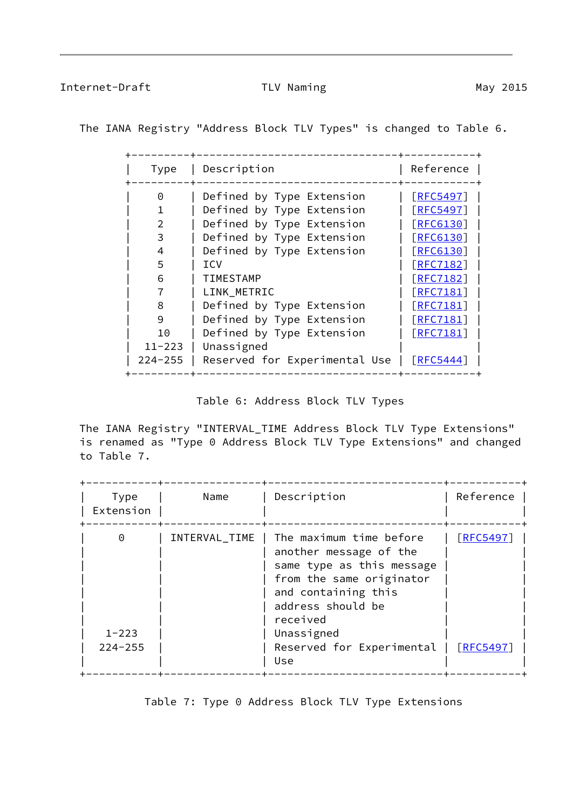Internet-Draft TLV Naming May 2015

The IANA Registry "Address Block TLV Types" is changed to Table 6.

| Type        | Description                   | Reference         |  |
|-------------|-------------------------------|-------------------|--|
| 0           | Defined by Type Extension     | $\lceil$ RFC5497  |  |
|             | Defined by Type Extension     | <b>FRFC5497</b>   |  |
|             | Defined by Type Extension     | [REG130]          |  |
| 3           | Defined by Type Extension     | <b>FRFC6130</b>   |  |
| 4           | Defined by Type Extension     | <b>FRFC6130</b>   |  |
| 5           | <b>ICV</b>                    | $[$ RFC7182]      |  |
| 6           | <b>TIMESTAMP</b>              | $[$ RFC7182]      |  |
|             | LINK METRIC                   | $\lceil$ RFC7181] |  |
| 8           | Defined by Type Extension     | $\lceil$ RFC7181  |  |
| 9           | Defined by Type Extension     | [RFC7181]         |  |
| 10          | Defined by Type Extension     | [RFC7181]         |  |
| $11 - 223$  | Unassigned                    |                   |  |
| $224 - 255$ | Reserved for Experimental Use | $\lceil$ RFC5444] |  |
|             |                               |                   |  |

Table 6: Address Block TLV Types

 The IANA Registry "INTERVAL\_TIME Address Block TLV Type Extensions" is renamed as "Type 0 Address Block TLV Type Extensions" and changed to Table 7.

| Type<br>Extension                    | Name          | Description                                                                                                                                                                                                          | Reference                          |
|--------------------------------------|---------------|----------------------------------------------------------------------------------------------------------------------------------------------------------------------------------------------------------------------|------------------------------------|
| $\Theta$<br>$1 - 223$<br>$224 - 255$ | INTERVAL_TIME | The maximum time before<br>another message of the<br>same type as this message<br>from the same originator<br>and containing this<br>address should be<br>received<br>Unassigned<br>Reserved for Experimental<br>Use | <b>FRFC5497</b><br><b>FRFC5497</b> |

Table 7: Type 0 Address Block TLV Type Extensions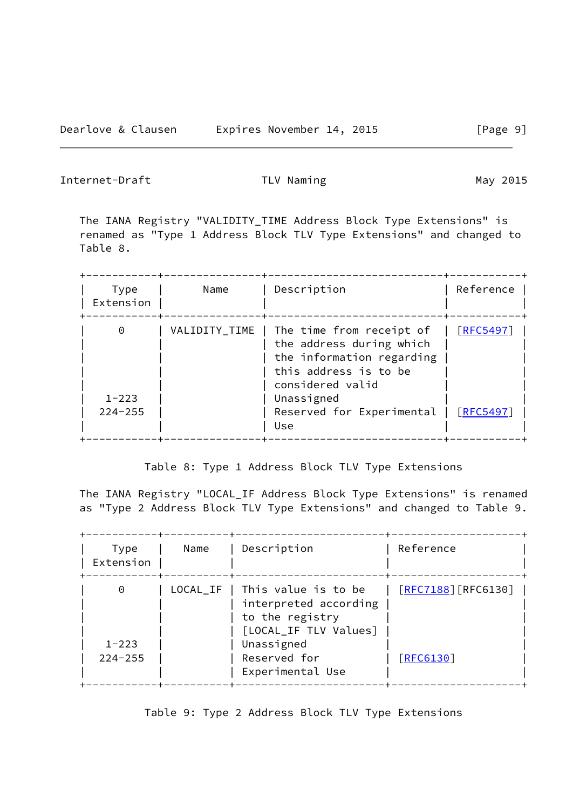Internet-Draft TLV Naming May 2015

 The IANA Registry "VALIDITY\_TIME Address Block Type Extensions" is renamed as "Type 1 Address Block TLV Type Extensions" and changed to Table 8.

| Type<br>Extension        | Name | Description                                                                                                                                                                                           | Reference |
|--------------------------|------|-------------------------------------------------------------------------------------------------------------------------------------------------------------------------------------------------------|-----------|
| $1 - 223$<br>$224 - 255$ |      | VALIDITY_TIME   The time from receipt of<br>the address during which<br>the information regarding<br>this address is to be<br>considered valid<br>Unassigned<br>Reserved for Experimental   [RFC5497] | [REC5497] |
|                          |      | Use                                                                                                                                                                                                   |           |

Table 8: Type 1 Address Block TLV Type Extensions

 The IANA Registry "LOCAL\_IF Address Block Type Extensions" is renamed as "Type 2 Address Block TLV Type Extensions" and changed to Table 9.

| Type<br>Extension        | Name     | Description                                                                              | Reference              |
|--------------------------|----------|------------------------------------------------------------------------------------------|------------------------|
| 0                        | LOCAL_IF | This value is to be<br>interpreted according<br>to the registry<br>[LOCAL_IF TLV Values] | $[$ RFC7188] [RFC6130] |
| $1 - 223$<br>$224 - 255$ |          | Unassigned<br>Reserved for<br>Experimental Use                                           | [REG130]               |

Table 9: Type 2 Address Block TLV Type Extensions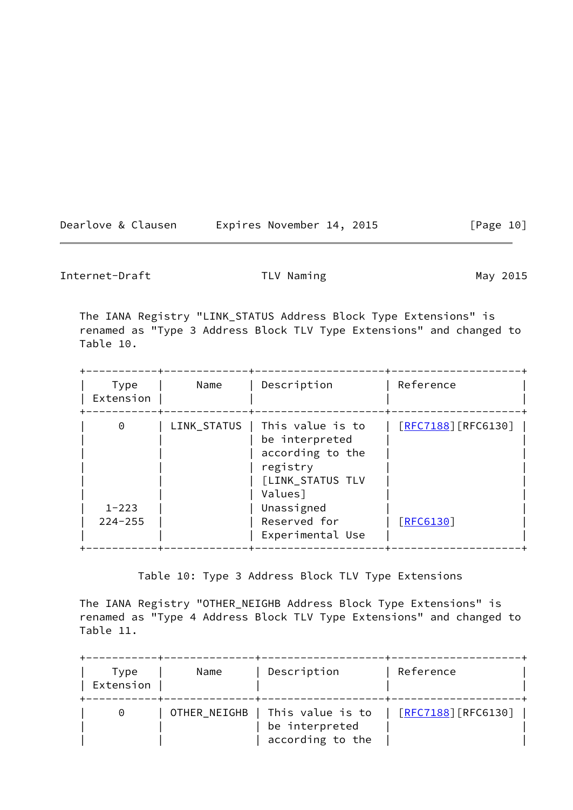| Dearlove & Clausen | Expires November 14, 2015 | [Page 10] |
|--------------------|---------------------------|-----------|
|--------------------|---------------------------|-----------|

Internet-Draft TLV Naming TLV Naming May 2015

 The IANA Registry "LINK\_STATUS Address Block Type Extensions" is renamed as "Type 3 Address Block TLV Type Extensions" and changed to Table 10.

| Type<br>Extension             | Name | Description                                                                                                                                                       | Reference                                                        |
|-------------------------------|------|-------------------------------------------------------------------------------------------------------------------------------------------------------------------|------------------------------------------------------------------|
| 0<br>$1 - 223$<br>$224 - 255$ |      | LINK_STATUS   This value is to<br>be interpreted<br>according to the<br>registry<br>[LINK_STATUS TLV<br>Values]<br>Unassigned<br>Reserved for<br>Experimental Use | $\left[\frac{\text{RFC7188}}{\text{RFC6130}}\right]$<br>[REG130] |

Table 10: Type 3 Address Block TLV Type Extensions

 The IANA Registry "OTHER\_NEIGHB Address Block Type Extensions" is renamed as "Type 4 Address Block TLV Type Extensions" and changed to Table 11.

| Type<br>Extension | Name | Description                                                           | Reference                                                       |
|-------------------|------|-----------------------------------------------------------------------|-----------------------------------------------------------------|
| $\Theta$          |      | OTHER_NEIGHB   This value is to<br>be interpreted<br>according to the | $\lceil \textsf{RFC7188} \rceil \lceil \textsf{RFC6130} \rceil$ |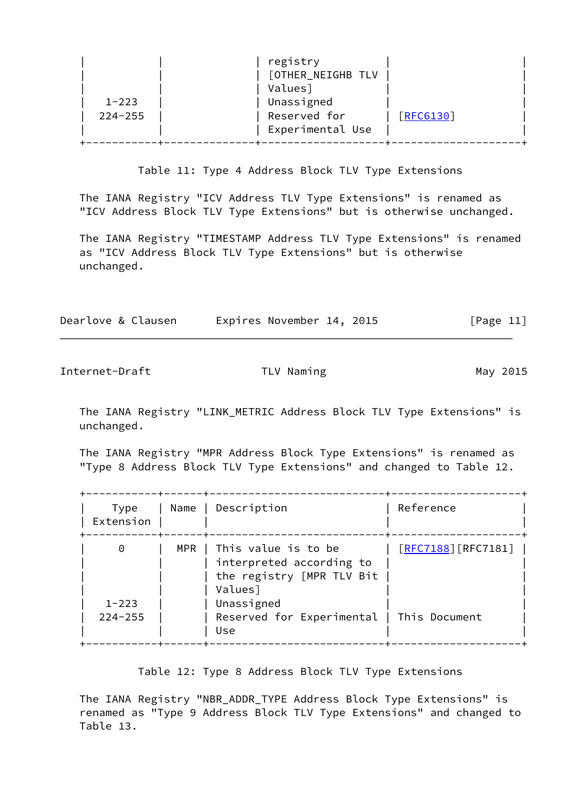| registry<br>[OTHER_NEIGHB TLV<br>Values]<br>Unassigned<br>$1 - 223$<br>Reserved for<br>[REG130]<br>$224 - 255$<br>Experimental Use |  |
|------------------------------------------------------------------------------------------------------------------------------------|--|
|------------------------------------------------------------------------------------------------------------------------------------|--|

Table 11: Type 4 Address Block TLV Type Extensions

 The IANA Registry "ICV Address TLV Type Extensions" is renamed as "ICV Address Block TLV Type Extensions" but is otherwise unchanged.

 The IANA Registry "TIMESTAMP Address TLV Type Extensions" is renamed as "ICV Address Block TLV Type Extensions" but is otherwise unchanged.

| Dearlove & Clausen | Expires November 14, 2015 | [Page 11] |
|--------------------|---------------------------|-----------|
|                    |                           |           |

Internet-Draft TLV Naming TLV Naming May 2015

 The IANA Registry "LINK\_METRIC Address Block TLV Type Extensions" is unchanged.

 The IANA Registry "MPR Address Block Type Extensions" is renamed as "Type 8 Address Block TLV Type Extensions" and changed to Table 12.

| Type<br>Extension        | Name | Description                                                                                   | Reference                  |
|--------------------------|------|-----------------------------------------------------------------------------------------------|----------------------------|
| $\Theta$                 |      | MPR   This value is to be<br>interpreted according to<br>the registry [MPR TLV Bit<br>Values] | <u>[RFC7188</u> ][RFC7181] |
| $1 - 223$<br>$224 - 255$ |      | Unassigned<br>Reserved for Experimental   This Document<br>Use                                |                            |

Table 12: Type 8 Address Block TLV Type Extensions

 The IANA Registry "NBR\_ADDR\_TYPE Address Block Type Extensions" is renamed as "Type 9 Address Block TLV Type Extensions" and changed to Table 13.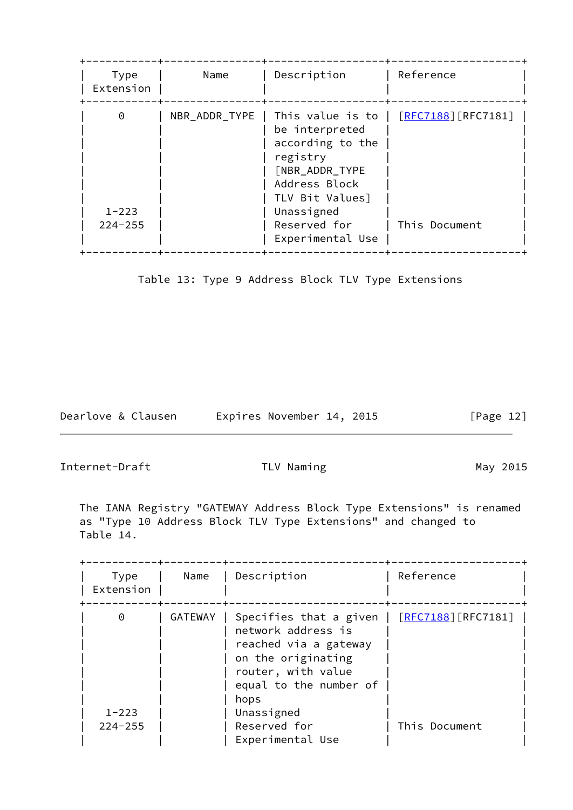| Type<br>Extension             | Name          | Description                                                                                                                                                                  | Reference                                   |
|-------------------------------|---------------|------------------------------------------------------------------------------------------------------------------------------------------------------------------------------|---------------------------------------------|
| 0<br>$1 - 223$<br>$224 - 255$ | NBR_ADDR_TYPE | This value is to  <br>be interpreted<br>according to the<br>registry<br>[NBR_ADDR_TYPE<br>Address Block<br>TLV Bit Values]<br>Unassigned<br>Reserved for<br>Experimental Use | <u>[RFC7188</u> ][RFC7181]<br>This Document |

Table 13: Type 9 Address Block TLV Type Extensions

Dearlove & Clausen Expires November 14, 2015 [Page 12]

<span id="page-13-0"></span>Internet-Draft TLV Naming TLV Naming May 2015

 The IANA Registry "GATEWAY Address Block Type Extensions" is renamed as "Type 10 Address Block TLV Type Extensions" and changed to Table 14.

| Type<br>Extension     | Name           | Description                                                                                                                                                         | Reference                  |
|-----------------------|----------------|---------------------------------------------------------------------------------------------------------------------------------------------------------------------|----------------------------|
| $\Theta$<br>$1 - 223$ | <b>GATEWAY</b> | Specifies that a given  <br>network address is<br>reached via a gateway<br>on the originating<br>router, with value<br>equal to the number of<br>hops<br>Unassigned | <u>[RFC7188]</u> [RFC7181] |
| $224 - 255$           |                | Reserved for<br>Experimental Use                                                                                                                                    | This Document              |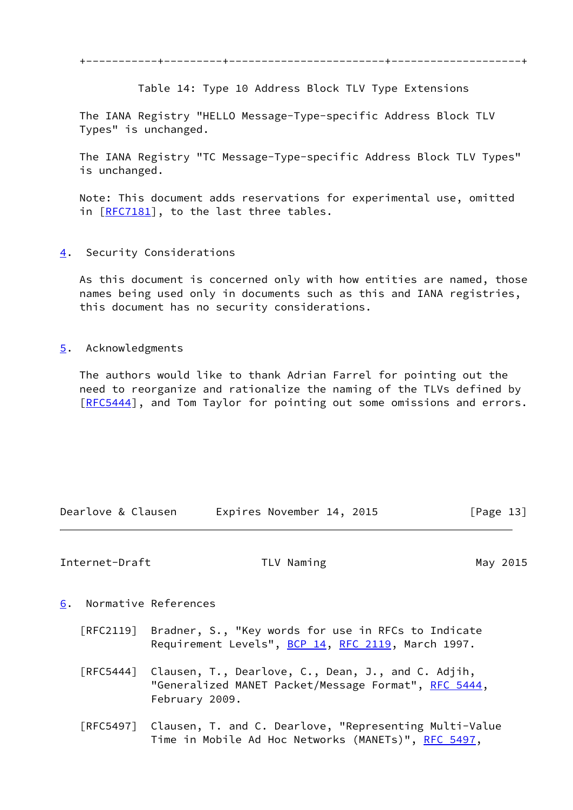+-----------+---------+------------------------+--------------------+

Table 14: Type 10 Address Block TLV Type Extensions

 The IANA Registry "HELLO Message-Type-specific Address Block TLV Types" is unchanged.

 The IANA Registry "TC Message-Type-specific Address Block TLV Types" is unchanged.

 Note: This document adds reservations for experimental use, omitted in [[RFC7181\]](https://datatracker.ietf.org/doc/pdf/rfc7181), to the last three tables.

<span id="page-14-0"></span>[4](#page-14-0). Security Considerations

 As this document is concerned only with how entities are named, those names being used only in documents such as this and IANA registries, this document has no security considerations.

<span id="page-14-1"></span>[5](#page-14-1). Acknowledgments

 The authors would like to thank Adrian Farrel for pointing out the need to reorganize and rationalize the naming of the TLVs defined by [\[RFC5444](https://datatracker.ietf.org/doc/pdf/rfc5444)], and Tom Taylor for pointing out some omissions and errors.

| Dearlove & Clausen | Expires November 14, 2015 | [Page 13] |
|--------------------|---------------------------|-----------|

<span id="page-14-3"></span>Internet-Draft TLV Naming The May 2015

- <span id="page-14-2"></span>[6](#page-14-2). Normative References
	- [RFC2119] Bradner, S., "Key words for use in RFCs to Indicate Requirement Levels", [BCP 14](https://datatracker.ietf.org/doc/pdf/bcp14), [RFC 2119](https://datatracker.ietf.org/doc/pdf/rfc2119), March 1997.
	- [RFC5444] Clausen, T., Dearlove, C., Dean, J., and C. Adjih, "Generalized MANET Packet/Message Format", [RFC 5444](https://datatracker.ietf.org/doc/pdf/rfc5444), February 2009.
	- [RFC5497] Clausen, T. and C. Dearlove, "Representing Multi-Value Time in Mobile Ad Hoc Networks (MANETs)", [RFC 5497](https://datatracker.ietf.org/doc/pdf/rfc5497),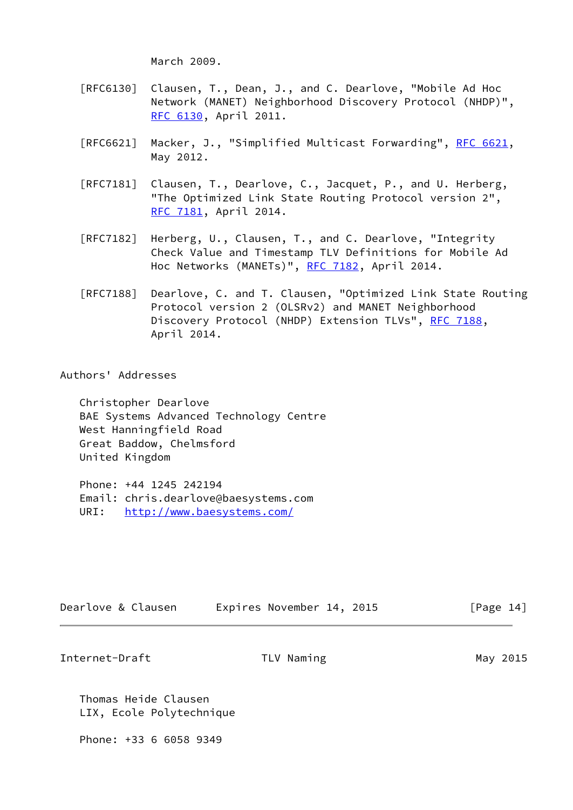March 2009.

- [RFC6130] Clausen, T., Dean, J., and C. Dearlove, "Mobile Ad Hoc Network (MANET) Neighborhood Discovery Protocol (NHDP)", [RFC 6130,](https://datatracker.ietf.org/doc/pdf/rfc6130) April 2011.
- [RFC6621] Macker, J., "Simplified Multicast Forwarding", [RFC 6621](https://datatracker.ietf.org/doc/pdf/rfc6621), May 2012.
- [RFC7181] Clausen, T., Dearlove, C., Jacquet, P., and U. Herberg, "The Optimized Link State Routing Protocol version 2", [RFC 7181,](https://datatracker.ietf.org/doc/pdf/rfc7181) April 2014.
- [RFC7182] Herberg, U., Clausen, T., and C. Dearlove, "Integrity Check Value and Timestamp TLV Definitions for Mobile Ad Hoc Networks (MANETs)", [RFC 7182,](https://datatracker.ietf.org/doc/pdf/rfc7182) April 2014.
- [RFC7188] Dearlove, C. and T. Clausen, "Optimized Link State Routing Protocol version 2 (OLSRv2) and MANET Neighborhood Discovery Protocol (NHDP) Extension TLVs", [RFC 7188](https://datatracker.ietf.org/doc/pdf/rfc7188), April 2014.

Authors' Addresses

 Christopher Dearlove BAE Systems Advanced Technology Centre West Hanningfield Road Great Baddow, Chelmsford United Kingdom

 Phone: +44 1245 242194 Email: chris.dearlove@baesystems.com URI: <http://www.baesystems.com/>

| Dearlove & Clausen | Expires November 14, 2015 | [Page 14] |
|--------------------|---------------------------|-----------|
|--------------------|---------------------------|-----------|

Internet-Draft TLV Naming TLV Naming May 2015

 Thomas Heide Clausen LIX, Ecole Polytechnique

Phone: +33 6 6058 9349